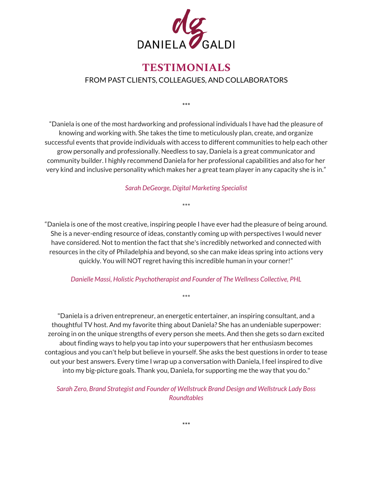

# **TESTIMONIALS** FROM PAST CLIENTS, COLLEAGUES, AND COLLABORATORS

\*\*\*

"Daniela is one of the most hardworking and professional individuals I have had the pleasure of knowing and working with. She takes the time to meticulously plan, create, and organize successful events that provide individuals with access to different communities to help each other grow personally and professionally. Needless to say, Daniela is a great communicator and community builder. I highly recommend Daniela for her professional capabilities and also for her very kind and inclusive personality which makes her a great team player in any capacity she is in."

*Sarah DeGeorge, Digital Marketing Specialist*

\*\*\*

"Daniela is one of the most creative, inspiring people I have ever had the pleasure of being around. She is a never-ending resource of ideas, constantly coming up with perspectives I would never have considered. Not to mention the fact that she's incredibly networked and connected with resources in the city of Philadelphia and beyond, so she can make ideas spring into actions very quickly. You will NOT regret having this incredible human in your corner!"

#### *Danielle Massi, Holistic Psychotherapist and Founder of The Wellness Collective, PHL*

\*\*\*

"Daniela is a driven entrepreneur, an energetic entertainer, an inspiring consultant, and a thoughtful TV host. And my favorite thing about Daniela? She has an undeniable superpower: zeroing in on the unique strengths of every person she meets. And then she gets so darn excited about finding ways to help you tap into your superpowers that her enthusiasm becomes contagious and you can't help but believe in yourself. She asks the best questions in order to tease out your best answers. Every time I wrap up a conversation with Daniela, I feel inspired to dive into my big-picture goals. Thank you, Daniela, for supporting me the way that you do."

*Sarah Zero, Brand Strategist and Founder of Wellstruck Brand Design and Wellstruck Lady Boss Roundtables*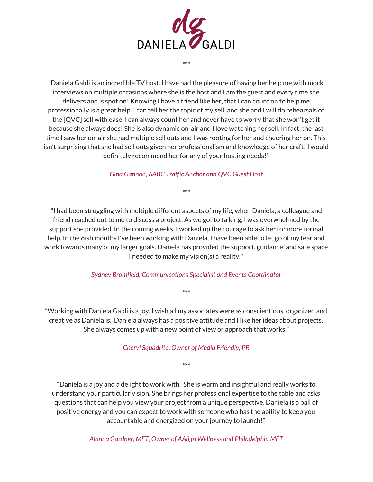

\*\*\*

"Daniela Galdi is an incredible TV host. I have had the pleasure of having her help me with mock interviews on multiple occasions where she is the host and I am the guest and every time she delivers and is spot on! Knowing I have a friend like her, that I can count on to help me professionally is a great help. I can tell her the topic of my sell, and she and I will do rehearsals of the [QVC] sell with ease. I can always count her and never have to worry that she won't get it because she always does! She is also dynamic on-air and I love watching her sell. In fact, the last time I saw her on-air she had multiple sell outs and I was rooting for her and cheering her on. This isn't surprising that she had sell outs given her professionalism and knowledge of her craft! I would definitely recommend her for any of your hosting needs!"

*Gina Gannon, 6ABC Traffic Anchor and QVC Guest Host*

\*\*\*

"I had been struggling with multiple different aspects of my life, when Daniela, a colleague and friend reached out to me to discuss a project. As we got to talking, I was overwhelmed by the support she provided. In the coming weeks, I worked up the courage to ask her for more formal help. In the 6ish months I've been working with Daniela, I have been able to let go of my fear and work towards many of my larger goals. Daniela has provided the support, guidance, and safe space I needed to make my vision(s) a reality."

*Sydney Bromfield, Communications Specialist and Events Coordinator*

\*\*\*

"Working with Daniela Galdi is a joy. I wish all my associates were as conscientious, organized and creative as Daniela is. Daniela always has a positive attitude and I like her ideas about projects. She always comes up with a new point of view or approach that works."

*Cheryl Squadrito, Owner of Media Friendly, PR*

\*\*\*

"Daniela is a joy and a delight to work with. She is warm and insightful and really works to understand your particular vision. She brings her professional expertise to the table and asks questions that can help you view your project from a unique perspective. Daniela is a ball of positive energy and you can expect to work with someone who has the ability to keep you accountable and energized on your journey to launch!"

*Alanna Gardner, MFT, Owner of AAlign Wellness and Philadelphia MFT*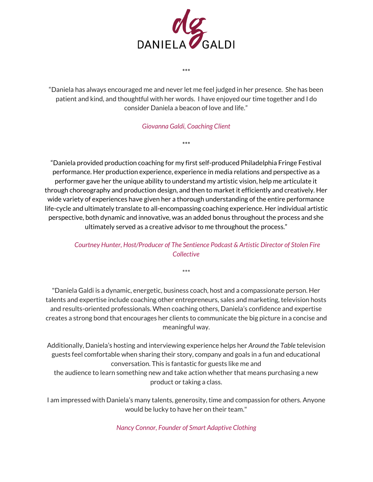

"Daniela has always encouraged me and never let me feel judged in her presence. She has been patient and kind, and thoughtful with her words. I have enjoyed our time together and I do consider Daniela a beacon of love and life."

\*\*\*

### *Giovanna Galdi, Coaching Client*

\*\*\*

"Daniela provided production coaching for my first self-produced Philadelphia Fringe Festival performance. Her production experience, experience in media relations and perspective as a performer gave her the unique ability to understand my artistic vision, help me articulate it through choreography and production design, and then to market it efficiently and creatively. Her wide variety of experiences have given her a thorough understanding of the entire performance life-cycle and ultimately translate to all-encompassing coaching experience. Her individual artistic perspective, both dynamic and innovative, was an added bonus throughout the process and she ultimately served as a creative advisor to me throughout the process."

## *Courtney Hunter, Host/Producer of The Sentience Podcast & Artistic Director of Stolen Fire Collective*

\*\*\*

"Daniela Galdi is a dynamic, energetic, business coach, host and a compassionate person. Her talents and expertise include coaching other entrepreneurs, sales and marketing, television hosts and results-oriented professionals. When coaching others, Daniela's confidence and expertise creates a strong bond that encourages her clients to communicate the big picture in a concise and meaningful way.

Additionally, Daniela's hosting and interviewing experience helps her *Around the Table* television guests feel comfortable when sharing their story, company and goals in a fun and educational conversation. This is fantastic for guests like me and the audience to learn something new and take action whether that means purchasing a new product or taking a class.

I am impressed with Daniela's many talents, generosity, time and compassion for others. Anyone would be lucky to have her on their team."

*Nancy Connor, Founder of Smart Adaptive Clothing*